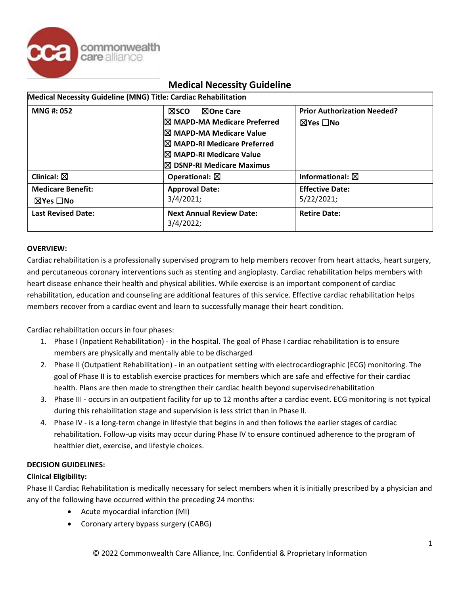

| Medical Necessity Guideline (MNG) Title: Cardiac Rehabilitation |                                                                                                                                                                                                               |                                                                 |
|-----------------------------------------------------------------|---------------------------------------------------------------------------------------------------------------------------------------------------------------------------------------------------------------|-----------------------------------------------------------------|
| <b>MNG#: 052</b>                                                | <b>NOne Care</b><br><b>NSCO</b><br>IX MAPD-MA Medicare Preferred<br><sup>I</sup> ⊠ MAPD-MA Medicare Value<br><b>IX MAPD-RI Medicare Preferred</b><br>I⊠ MAPD-RI Medicare Value<br>I⊠ DSNP-RI Medicare Maximus | <b>Prior Authorization Needed?</b><br>$\boxtimes$ Yes $\Box$ No |
| Clinical: $\boxtimes$                                           | Operational: $\boxtimes$                                                                                                                                                                                      | Informational: $\boxtimes$                                      |
| <b>Medicare Benefit:</b><br>⊠Yes □No                            | <b>Approval Date:</b><br>3/4/2021;                                                                                                                                                                            | <b>Effective Date:</b><br>5/22/2021;                            |
| <b>Last Revised Date:</b>                                       | <b>Next Annual Review Date:</b><br>3/4/2022;                                                                                                                                                                  | <b>Retire Date:</b>                                             |

# **OVERVIEW:**

Cardiac rehabilitation is a professionally supervised program to help members recover from heart attacks, heart surgery, and percutaneous coronary interventions such as stenting and angioplasty. Cardiac rehabilitation helps members with heart disease enhance their health and physical abilities. While exercise is an important component of cardiac rehabilitation, education and counseling are additional features of this service. Effective cardiac rehabilitation helps members recover from a cardiac event and learn to successfully manage their heart condition.

Cardiac rehabilitation occurs in four phases:

- 1. Phase I (Inpatient Rehabilitation) in the hospital. The goal of Phase I cardiac rehabilitation is to ensure members are physically and mentally able to be discharged
- 2. Phase II (Outpatient Rehabilitation) in an outpatient setting with electrocardiographic (ECG) monitoring. The goal of Phase II is to establish exercise practices for members which are safe and effective for their cardiac health. Plans are then made to strengthen their cardiac health beyond supervised rehabilitation
- 3. Phase III occurs in an outpatient facility for up to 12 months after a cardiac event. ECG monitoring is not typical during this rehabilitation stage and supervision is less strict than in Phase II.
- 4. Phase IV is a long-term change in lifestyle that begins in and then follows the earlier stages of cardiac rehabilitation. Follow-up visits may occur during Phase IV to ensure continued adherence to the program of healthier diet, exercise, and lifestyle choices.

## **DECISION GUIDELINES:**

## **Clinical Eligibility:**

Phase II Cardiac Rehabilitation is medically necessary for select members when it is initially prescribed by a physician and any of the following have occurred within the preceding 24 months:

- Acute myocardial infarction (MI)
- Coronary artery bypass surgery (CABG)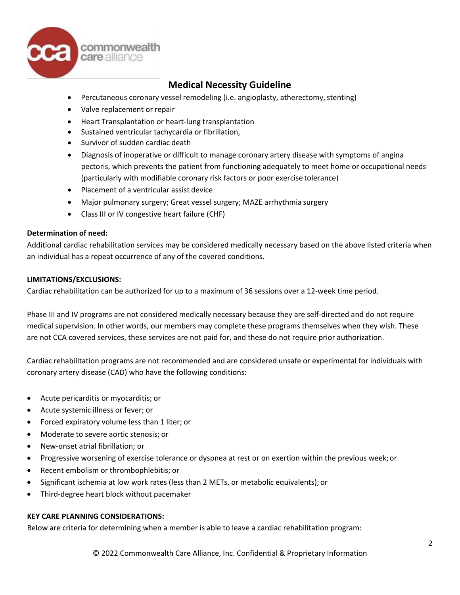

- Percutaneous coronary vessel remodeling (i.e. angioplasty, atherectomy, stenting)
- Valve replacement or repair
- Heart Transplantation or heart-lung transplantation
- Sustained ventricular tachycardia or fibrillation,
- Survivor of sudden cardiac death
- Diagnosis of inoperative or difficult to manage coronary artery disease with symptoms of angina pectoris, which prevents the patient from functioning adequately to meet home or occupational needs (particularly with modifiable coronary risk factors or poor exercise tolerance)
- Placement of a ventricular assist device
- Major pulmonary surgery; Great vessel surgery; MAZE arrhythmia surgery
- Class III or IV congestive heart failure (CHF)

#### **Determination of need:**

Additional cardiac rehabilitation services may be considered medically necessary based on the above listed criteria when an individual has a repeat occurrence of any of the covered conditions.

#### **LIMITATIONS/EXCLUSIONS:**

Cardiac rehabilitation can be authorized for up to a maximum of 36 sessions over a 12-week time period.

Phase III and IV programs are not considered medically necessary because they are self-directed and do not require medical supervision. In other words, our members may complete these programs themselves when they wish. These are not CCA covered services, these services are not paid for, and these do not require prior authorization.

Cardiac rehabilitation programs are not recommended and are considered unsafe or experimental for individuals with coronary artery disease (CAD) who have the following conditions:

- Acute pericarditis or myocarditis; or
- Acute systemic illness or fever; or
- Forced expiratory volume less than 1 liter; or
- Moderate to severe aortic stenosis; or
- New-onset atrial fibrillation; or
- Progressive worsening of exercise tolerance or dyspnea at rest or on exertion within the previous week;or
- Recent embolism or thrombophlebitis; or
- Significant ischemia at low work rates (less than 2 METs, or metabolic equivalents); or
- Third-degree heart block without pacemaker

## **KEY CARE PLANNING CONSIDERATIONS:**

Below are criteria for determining when a member is able to leave a cardiac rehabilitation program: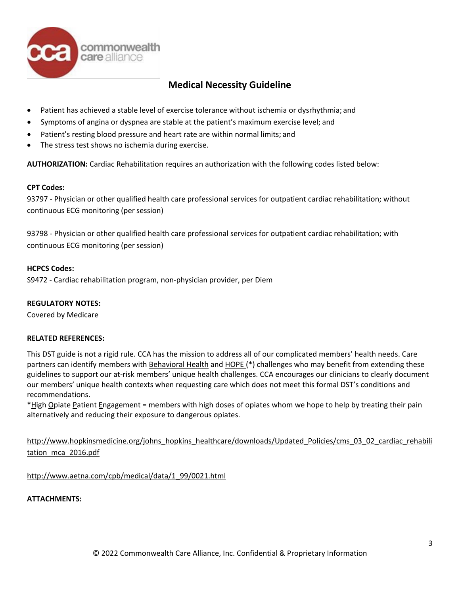

- Patient has achieved a stable level of exercise tolerance without ischemia or dysrhythmia; and
- Symptoms of angina or dyspnea are stable at the patient's maximum exercise level; and
- Patient's resting blood pressure and heart rate are within normal limits; and
- The stress test shows no ischemia during exercise.

**AUTHORIZATION:** Cardiac Rehabilitation requires an authorization with the following codes listed below:

#### **CPT Codes:**

93797 - Physician or other qualified health care professional services for outpatient cardiac rehabilitation; without continuous ECG monitoring (per session)

93798 - Physician or other qualified health care professional services for outpatient cardiac rehabilitation; with continuous ECG monitoring (per session)

#### **HCPCS Codes:**

S9472 - Cardiac rehabilitation program, non-physician provider, per Diem

## **REGULATORY NOTES:**

Covered by Medicare

#### **RELATED REFERENCES:**

This DST guide is not a rigid rule. CCA has the mission to address all of our complicated members' health needs. Care partners can identify members with Behavioral Health and HOPE (\*) challenges who may benefit from extending these guidelines to support our at-risk members' unique health challenges. CCA encourages our clinicians to clearly document our members' unique health contexts when requesting care which does not meet this formal DST's conditions and recommendations.

\*High Opiate Patient Engagement = members with high doses of opiates whom we hope to help by treating their pain alternatively and reducing their exposure to dangerous opiates.

[http://www.hopkinsmedicine.org/johns\\_hopkins\\_healthcare/downloads/Updated\\_Policies/cms\\_03\\_02\\_cardiac\\_rehabili](http://www.hopkinsmedicine.org/johns_hopkins_healthcare/downloads/Updated_Policies/cms_03_02_cardiac_rehabilitation_mca_2016.pdf) [tation\\_mca\\_2016.pdf](http://www.hopkinsmedicine.org/johns_hopkins_healthcare/downloads/Updated_Policies/cms_03_02_cardiac_rehabilitation_mca_2016.pdf)

[http://www.aetna.com/cpb/medical/data/1\\_99/0021.html](http://www.aetna.com/cpb/medical/data/1_99/0021.html)

## **ATTACHMENTS:**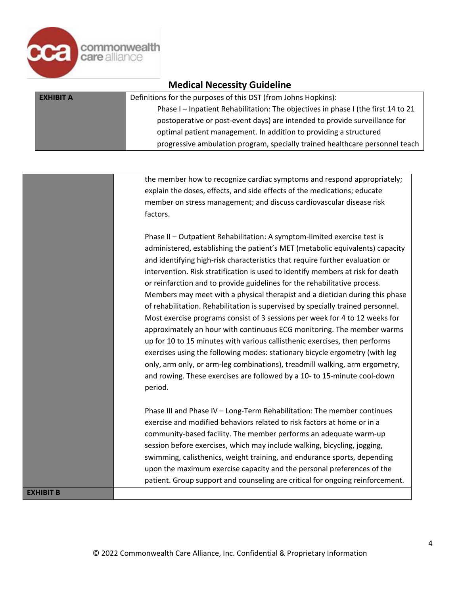

| <b>Medical Necessity Guideline</b> |                                                                                   |  |
|------------------------------------|-----------------------------------------------------------------------------------|--|
| <b>EXHIBIT A</b>                   | Definitions for the purposes of this DST (from Johns Hopkins):                    |  |
|                                    | Phase I - Inpatient Rehabilitation: The objectives in phase I (the first 14 to 21 |  |
|                                    | postoperative or post-event days) are intended to provide surveillance for        |  |
|                                    | optimal patient management. In addition to providing a structured                 |  |
|                                    | progressive ambulation program, specially trained healthcare personnel teach      |  |

the member how to recognize cardiac symptoms and respond appropriately; explain the doses, effects, and side effects of the medications; educate member on stress management; and discuss cardiovascular disease risk factors.

Phase II – Outpatient Rehabilitation: A symptom-limited exercise test is administered, establishing the patient's MET (metabolic equivalents) capacity and identifying high-risk characteristics that require further evaluation or intervention. Risk stratification is used to identify members at risk for death or reinfarction and to provide guidelines for the rehabilitative process. Members may meet with a physical therapist and a dietician during this phase of rehabilitation. Rehabilitation is supervised by specially trained personnel. Most exercise programs consist of 3 sessions per week for 4 to 12 weeks for approximately an hour with continuous ECG monitoring. The member warms up for 10 to 15 minutes with various callisthenic exercises, then performs exercises using the following modes: stationary bicycle ergometry (with leg only, arm only, or arm-leg combinations), treadmill walking, arm ergometry, and rowing. These exercises are followed by a 10- to 15-minute cool-down period.

Phase III and Phase IV – Long-Term Rehabilitation: The member continues exercise and modified behaviors related to risk factors at home or in a community-based facility. The member performs an adequate warm-up session before exercises, which may include walking, bicycling, jogging, swimming, calisthenics, weight training, and endurance sports, depending upon the maximum exercise capacity and the personal preferences of the patient. Group support and counseling are critical for ongoing reinforcement.

**EXHIBIT B**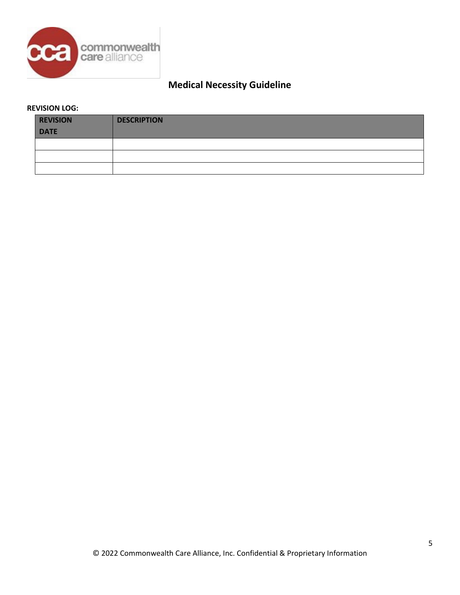

# **REVISION LOG:**

| <b>REVISION</b> | <b>DESCRIPTION</b> |
|-----------------|--------------------|
| <b>DATE</b>     |                    |
|                 |                    |
|                 |                    |
|                 |                    |